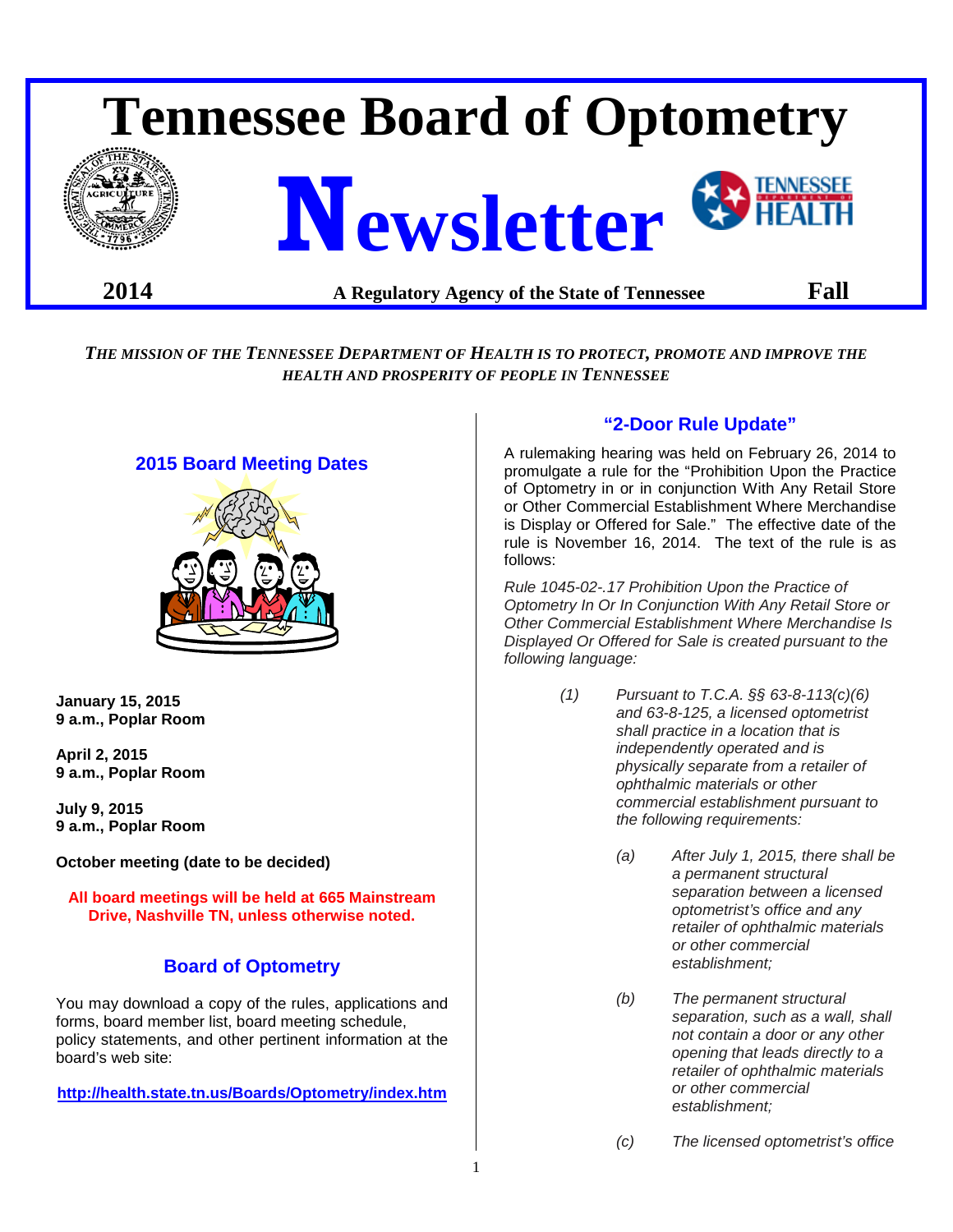# **Tennessee Board of Optometry Newsletter**

# **2014 A Regulatory Agency of the State of Tennessee Fall**

*THE MISSION OF THE TENNESSEE DEPARTMENT OF HEALTH IS TO PROTECT, PROMOTE AND IMPROVE THE HEALTH AND PROSPERITY OF PEOPLE IN TENNESSEE*

# **2015 Board Meeting Dates**



**January 15, 2015 9 a.m., Poplar Room** 

**April 2, 2015 9 a.m., Poplar Room** 

**July 9, 2015 9 a.m., Poplar Room** 

**October meeting (date to be decided)**

**All board meetings will be held at 665 Mainstream Drive, Nashville TN, unless otherwise noted.**

# **Board of Optometry**

You may download a copy of the rules, applications and forms, board member list, board meeting schedule, policy statements, and other pertinent information at the board's web site:

**<http://health.state.tn.us/Boards/Optometry/index.htm>**

# **"2-Door Rule Update"**

A rulemaking hearing was held on February 26, 2014 to promulgate a rule for the "Prohibition Upon the Practice of Optometry in or in conjunction With Any Retail Store or Other Commercial Establishment Where Merchandise is Display or Offered for Sale." The effective date of the rule is November 16, 2014. The text of the rule is as follows:

*Rule 1045-02-.17 Prohibition Upon the Practice of Optometry In Or In Conjunction With Any Retail Store or Other Commercial Establishment Where Merchandise Is Displayed Or Offered for Sale is created pursuant to the following language:*

- *(1) Pursuant to T.C.A. §§ 63-8-113(c)(6) and 63-8-125, a licensed optometrist shall practice in a location that is independently operated and is physically separate from a retailer of ophthalmic materials or other commercial establishment pursuant to the following requirements:*
	- *(a) After July 1, 2015, there shall be a permanent structural separation between a licensed optometrist's office and any retailer of ophthalmic materials or other commercial establishment;*
	- *(b) The permanent structural separation, such as a wall, shall not contain a door or any other opening that leads directly to a retailer of ophthalmic materials or other commercial establishment;*
	- *(c) The licensed optometrist's office*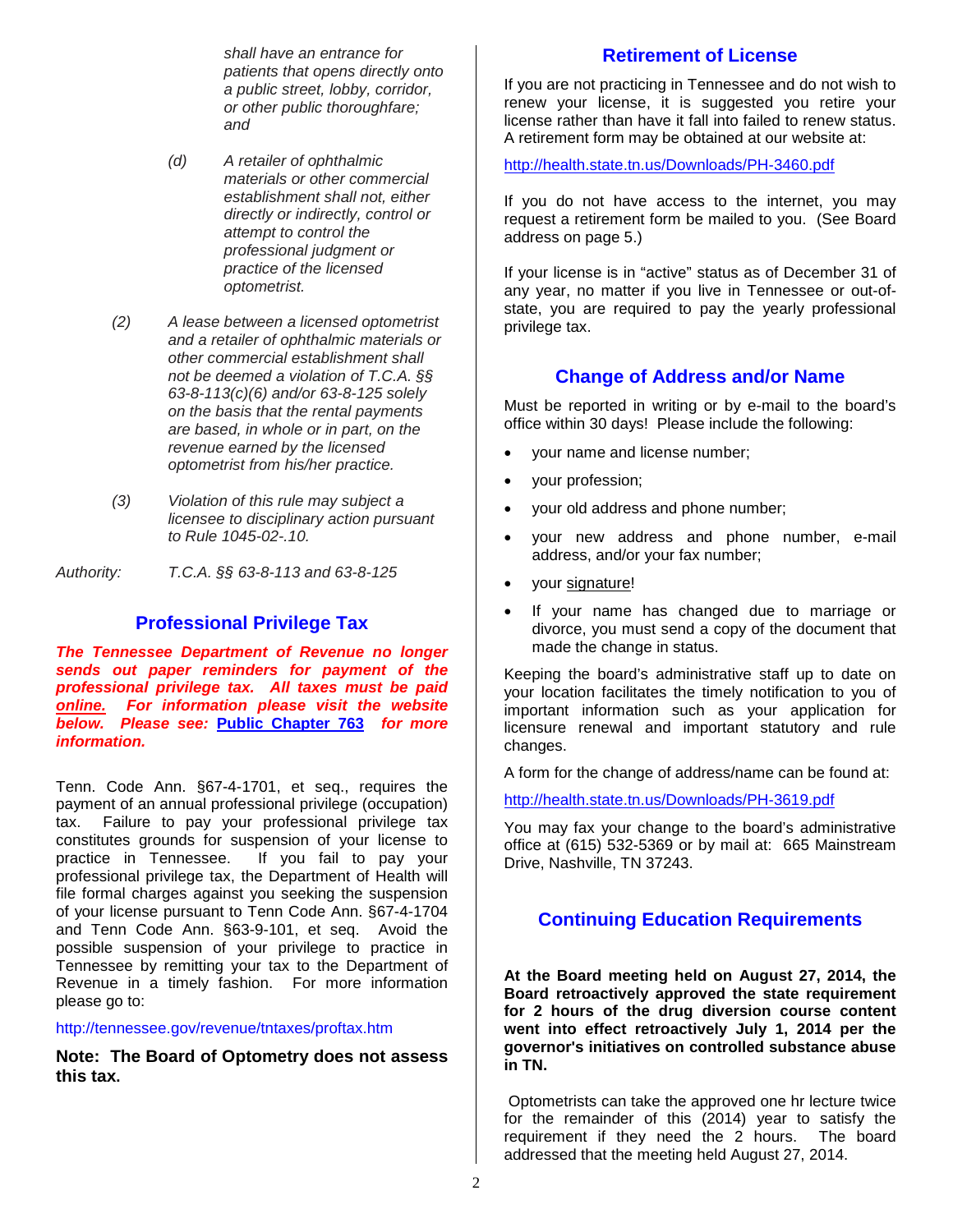*shall have an entrance for patients that opens directly onto a public street, lobby, corridor, or other public thoroughfare; and*

- *(d) A retailer of ophthalmic materials or other commercial establishment shall not, either directly or indirectly, control or attempt to control the professional judgment or practice of the licensed optometrist.*
- *(2) A lease between a licensed optometrist and a retailer of ophthalmic materials or other commercial establishment shall not be deemed a violation of T.C.A. §§ 63-8-113(c)(6) and/or 63-8-125 solely on the basis that the rental payments are based, in whole or in part, on the revenue earned by the licensed optometrist from his/her practice.*
- *(3) Violation of this rule may subject a licensee to disciplinary action pursuant to Rule 1045-02-.10.*

*Authority: T.C.A. §§ 63-8-113 and 63-8-125*

# **Professional Privilege Tax**

*The Tennessee Department of Revenue no longer sends out paper reminders for payment of the professional privilege tax. All taxes must be paid online. For information please visit the website below. Please see:* **[Public Chapter 763](http://state.tn.us/sos/acts/108/pub/pc0763.pdf)** *for more information.*

Tenn. Code Ann. §67-4-1701, et seq., requires the payment of an annual professional privilege (occupation) tax. Failure to pay your professional privilege tax constitutes grounds for suspension of your license to practice in Tennessee. If you fail to pay your professional privilege tax, the Department of Health will file formal charges against you seeking the suspension of your license pursuant to Tenn Code Ann. §67-4-1704 and Tenn Code Ann. §63-9-101, et seq. Avoid the possible suspension of your privilege to practice in Tennessee by remitting your tax to the Department of Revenue in a timely fashion. For more information please go to:

#### http://tennessee.gov/revenue/tntaxes/proftax.htm

**Note: The Board of Optometry does not assess this tax.** 

## **Retirement of License**

If you are not practicing in Tennessee and do not wish to renew your license, it is suggested you retire your license rather than have it fall into failed to renew status. A retirement form may be obtained at our website at:

<http://health.state.tn.us/Downloads/PH-3460.pdf>

If you do not have access to the internet, you may request a retirement form be mailed to you. (See Board address on page 5.)

If your license is in "active" status as of December 31 of any year, no matter if you live in Tennessee or out-ofstate, you are required to pay the yearly professional privilege tax.

## **Change of Address and/or Name**

Must be reported in writing or by e-mail to the board's office within 30 days! Please include the following:

- your name and license number;
- your profession;
- your old address and phone number;
- your new address and phone number, e-mail address, and/or your fax number;
- your signature!
- If your name has changed due to marriage or divorce, you must send a copy of the document that made the change in status.

Keeping the board's administrative staff up to date on your location facilitates the timely notification to you of important information such as your application for licensure renewal and important statutory and rule changes.

A form for the change of address/name can be found at:

<http://health.state.tn.us/Downloads/PH-3619.pdf>

You may fax your change to the board's administrative office at (615) 532-5369 or by mail at: 665 Mainstream Drive, Nashville, TN 37243.

# **Continuing Education Requirements**

**At the Board meeting held on August 27, 2014, the Board retroactively approved the state requirement for 2 hours of the drug diversion course content went into effect retroactively July 1, 2014 per the governor's initiatives on controlled substance abuse in TN.**

Optometrists can take the approved one hr lecture twice for the remainder of this (2014) year to satisfy the requirement if they need the 2 hours. The board addressed that the meeting held August 27, 2014.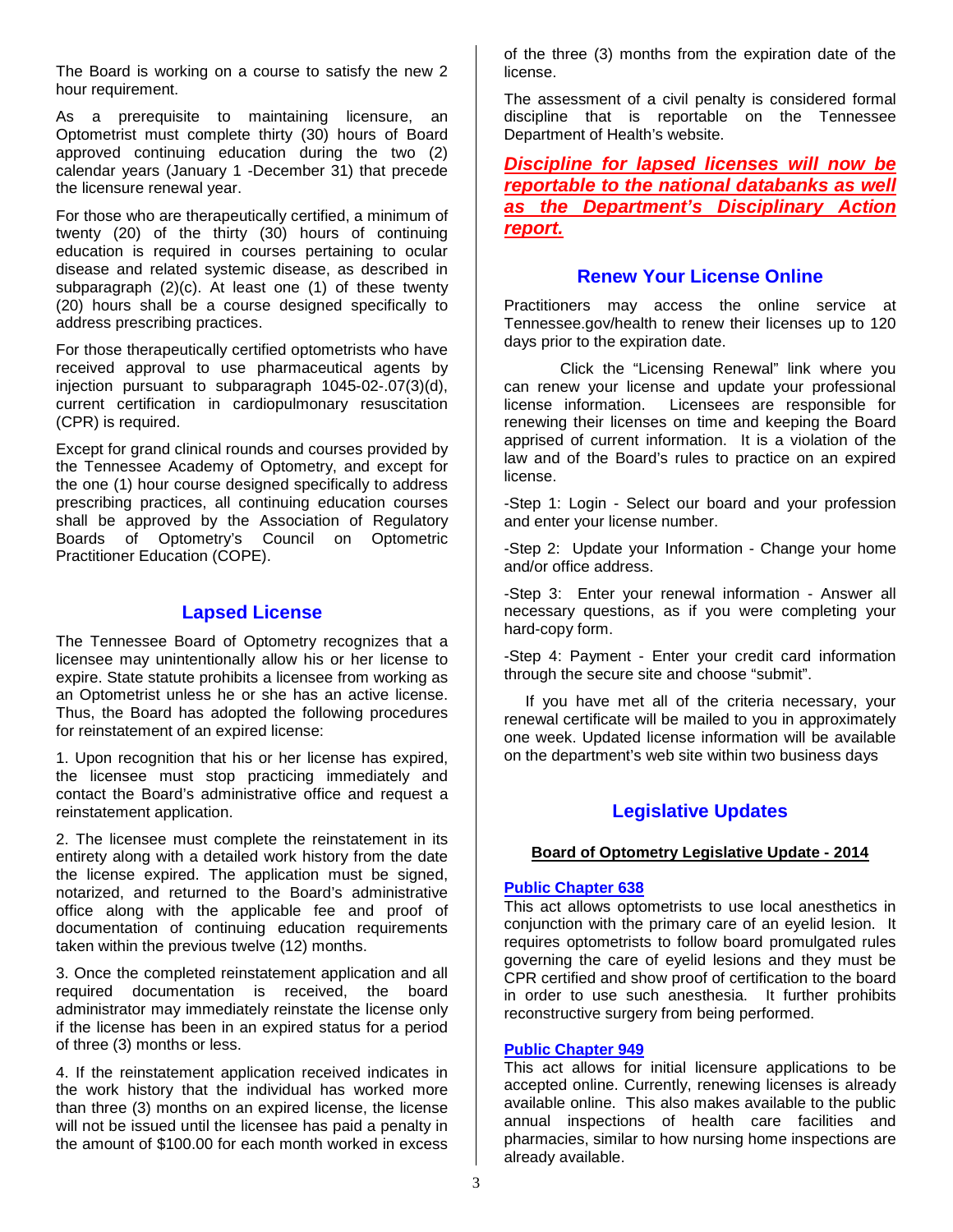The Board is working on a course to satisfy the new 2 hour requirement.

As a prerequisite to maintaining licensure, an Optometrist must complete thirty (30) hours of Board approved continuing education during the two (2) calendar years (January 1 -December 31) that precede the licensure renewal year.

For those who are therapeutically certified, a minimum of twenty (20) of the thirty (30) hours of continuing education is required in courses pertaining to ocular disease and related systemic disease, as described in subparagraph (2)(c). At least one (1) of these twenty (20) hours shall be a course designed specifically to address prescribing practices.

For those therapeutically certified optometrists who have received approval to use pharmaceutical agents by injection pursuant to subparagraph 1045-02-.07(3)(d), current certification in cardiopulmonary resuscitation (CPR) is required.

Except for grand clinical rounds and courses provided by the Tennessee Academy of Optometry, and except for the one (1) hour course designed specifically to address prescribing practices, all continuing education courses shall be approved by the Association of Regulatory Boards of Optometry's Council on Optometric Practitioner Education (COPE).

## **Lapsed License**

The Tennessee Board of Optometry recognizes that a licensee may unintentionally allow his or her license to expire. State statute prohibits a licensee from working as an Optometrist unless he or she has an active license. Thus, the Board has adopted the following procedures for reinstatement of an expired license:

1. Upon recognition that his or her license has expired, the licensee must stop practicing immediately and contact the Board's administrative office and request a reinstatement application.

2. The licensee must complete the reinstatement in its entirety along with a detailed work history from the date the license expired. The application must be signed, notarized, and returned to the Board's administrative office along with the applicable fee and proof of documentation of continuing education requirements taken within the previous twelve (12) months.

3. Once the completed reinstatement application and all required documentation is received, the board administrator may immediately reinstate the license only if the license has been in an expired status for a period of three (3) months or less.

4. If the reinstatement application received indicates in the work history that the individual has worked more than three (3) months on an expired license, the license will not be issued until the licensee has paid a penalty in the amount of \$100.00 for each month worked in excess

of the three (3) months from the expiration date of the license.

The assessment of a civil penalty is considered formal discipline that is reportable on the Tennessee Department of Health's website.

*Discipline for lapsed licenses will now be reportable to the national databanks as well as the Department's Disciplinary Action report.*

## **Renew Your License Online**

Practitioners may access the online service at Tennessee.gov/health to renew their licenses up to 120 days prior to the expiration date.

Click the "Licensing Renewal" link where you can renew your license and update your professional license information. Licensees are responsible for renewing their licenses on time and keeping the Board apprised of current information. It is a violation of the law and of the Board's rules to practice on an expired license.

-Step 1: Login - Select our board and your profession and enter your license number.

-Step 2: Update your Information - Change your home and/or office address.

-Step 3: Enter your renewal information - Answer all necessary questions, as if you were completing your hard-copy form.

-Step 4: Payment - Enter your credit card information through the secure site and choose "submit".

 If you have met all of the criteria necessary, your renewal certificate will be mailed to you in approximately one week. Updated license information will be available on the department's web site within two business days

# **Legislative Updates**

## **Board of Optometry Legislative Update - 2014**

#### **[Public Chapter 638](http://state.tn.us/sos/acts/108/pub/pc0638.pdf)**

This act allows optometrists to use local anesthetics in conjunction with the primary care of an eyelid lesion. It requires optometrists to follow board promulgated rules governing the care of eyelid lesions and they must be CPR certified and show proof of certification to the board in order to use such anesthesia. It further prohibits reconstructive surgery from being performed.

#### **[Public Chapter 949](http://state.tn.us/sos/acts/108/pub/pc0949.pdf)**

This act allows for initial licensure applications to be accepted online. Currently, renewing licenses is already available online. This also makes available to the public annual inspections of health care facilities and pharmacies, similar to how nursing home inspections are already available.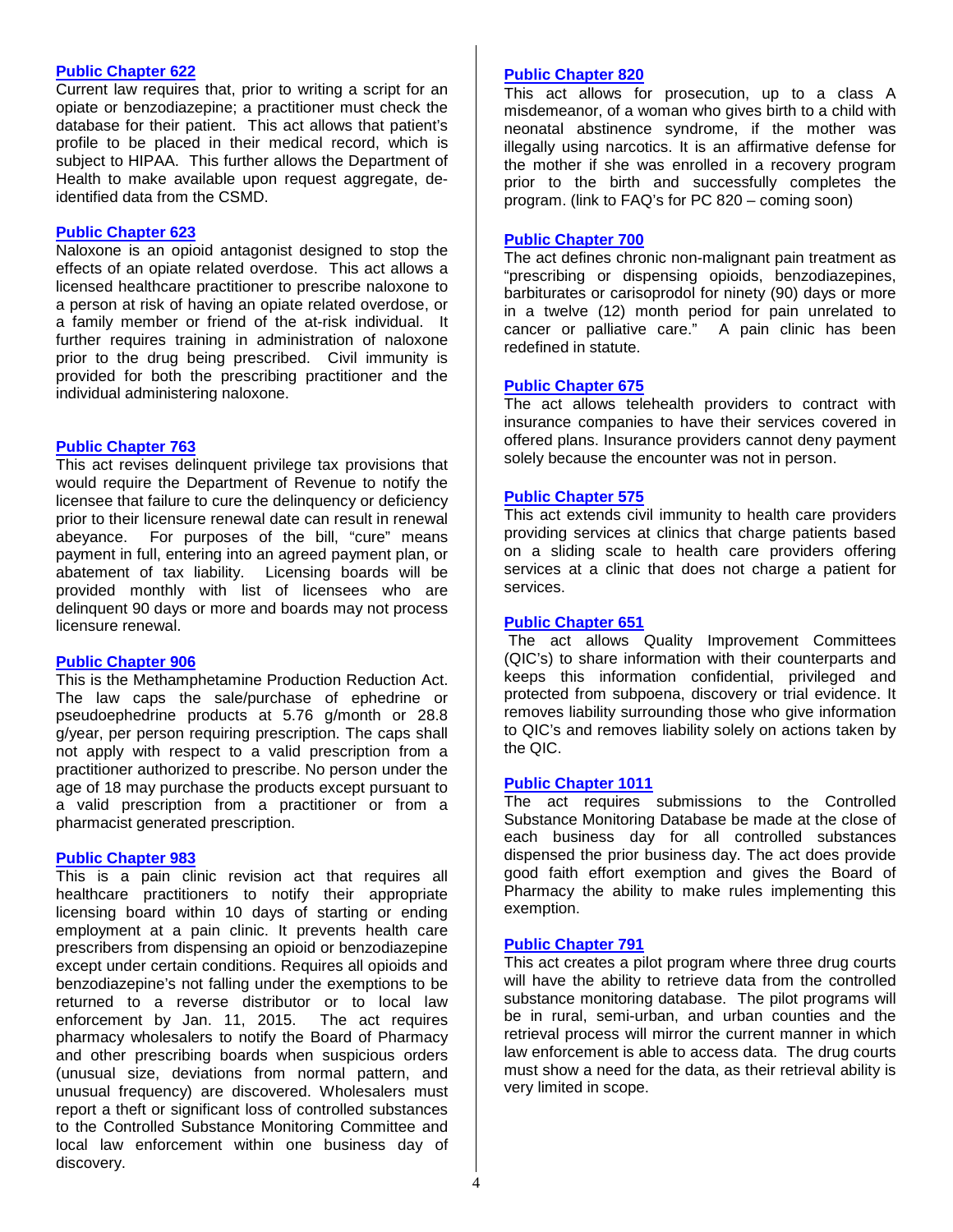#### **[Public Chapter 622](http://state.tn.us/sos/acts/108/pub/pc0622.pdf)**

Current law requires that, prior to writing a script for an opiate or benzodiazepine; a practitioner must check the database for their patient. This act allows that patient's profile to be placed in their medical record, which is subject to HIPAA. This further allows the Department of Health to make available upon request aggregate, deidentified data from the CSMD.

#### **[Public Chapter 623](http://state.tn.us/sos/acts/108/pub/pc0623.pdf)**

Naloxone is an opioid antagonist designed to stop the effects of an opiate related overdose. This act allows a licensed healthcare practitioner to prescribe naloxone to a person at risk of having an opiate related overdose, or a family member or friend of the at-risk individual. It further requires training in administration of naloxone prior to the drug being prescribed. Civil immunity is provided for both the prescribing practitioner and the individual administering naloxone.

#### **[Public Chapter 763](http://state.tn.us/sos/acts/108/pub/pc0763.pdf)**

This act revises delinquent privilege tax provisions that would require the Department of Revenue to notify the licensee that failure to cure the delinquency or deficiency prior to their licensure renewal date can result in renewal abeyance. For purposes of the bill, "cure" means payment in full, entering into an agreed payment plan, or abatement of tax liability. Licensing boards will be provided monthly with list of licensees who are delinquent 90 days or more and boards may not process licensure renewal.

#### **[Public Chapter 906](http://state.tn.us/sos/acts/108/pub/pc0906.pdf)**

This is the Methamphetamine Production Reduction Act. The law caps the sale/purchase of ephedrine or pseudoephedrine products at 5.76 g/month or 28.8 g/year, per person requiring prescription. The caps shall not apply with respect to a valid prescription from a practitioner authorized to prescribe. No person under the age of 18 may purchase the products except pursuant to a valid prescription from a practitioner or from a pharmacist generated prescription.

#### **[Public Chapter 983](http://state.tn.us/sos/acts/108/pub/pc0983.pdf)**

This is a pain clinic revision act that requires all healthcare practitioners to notify their appropriate licensing board within 10 days of starting or ending employment at a pain clinic. It prevents health care prescribers from dispensing an opioid or benzodiazepine except under certain conditions. Requires all opioids and benzodiazepine's not falling under the exemptions to be returned to a reverse distributor or to local law enforcement by Jan. 11, 2015. The act requires pharmacy wholesalers to notify the Board of Pharmacy and other prescribing boards when suspicious orders (unusual size, deviations from normal pattern, and unusual frequency) are discovered. Wholesalers must report a theft or significant loss of controlled substances to the Controlled Substance Monitoring Committee and local law enforcement within one business day of discovery.

#### **[Public Chapter 820](http://state.tn.us/sos/acts/108/pub/pc0820.pdf)**

This act allows for prosecution, up to a class A misdemeanor, of a woman who gives birth to a child with neonatal abstinence syndrome, if the mother was illegally using narcotics. It is an affirmative defense for the mother if she was enrolled in a recovery program prior to the birth and successfully completes the program. (link to FAQ's for PC 820 – coming soon)

#### **[Public Chapter 700](http://state.tn.us/sos/acts/108/pub/pc0700.pdf)**

The act defines chronic non-malignant pain treatment as "prescribing or dispensing opioids, benzodiazepines, barbiturates or carisoprodol for ninety (90) days or more in a twelve (12) month period for pain unrelated to cancer or palliative care." A pain clinic has been redefined in statute.

#### **[Public Chapter 675](http://state.tn.us/sos/acts/108/pub/pc0675.pdf)**

The act allows telehealth providers to contract with insurance companies to have their services covered in offered plans. Insurance providers cannot deny payment solely because the encounter was not in person.

#### **[Public Chapter 575](http://state.tn.us/sos/acts/108/pub/pc0575.pdf)**

This act extends civil immunity to health care providers providing services at clinics that charge patients based on a sliding scale to health care providers offering services at a clinic that does not charge a patient for services.

#### **[Public Chapter 651](http://state.tn.us/sos/acts/108/pub/pc0651.pdf)**

The act allows Quality Improvement Committees (QIC's) to share information with their counterparts and keeps this information confidential, privileged and protected from subpoena, discovery or trial evidence. It removes liability surrounding those who give information to QIC's and removes liability solely on actions taken by the QIC.

#### **[Public Chapter 1011](http://state.tn.us/sos/acts/108/pub/pc1011.pdf)**

The act requires submissions to the Controlled Substance Monitoring Database be made at the close of each business day for all controlled substances dispensed the prior business day. The act does provide good faith effort exemption and gives the Board of Pharmacy the ability to make rules implementing this exemption.

#### **[Public Chapter 791](http://state.tn.us/sos/acts/108/pub/pc0791.pdf)**

This act creates a pilot program where three drug courts will have the ability to retrieve data from the controlled substance monitoring database. The pilot programs will be in rural, semi-urban, and urban counties and the retrieval process will mirror the current manner in which law enforcement is able to access data. The drug courts must show a need for the data, as their retrieval ability is very limited in scope.